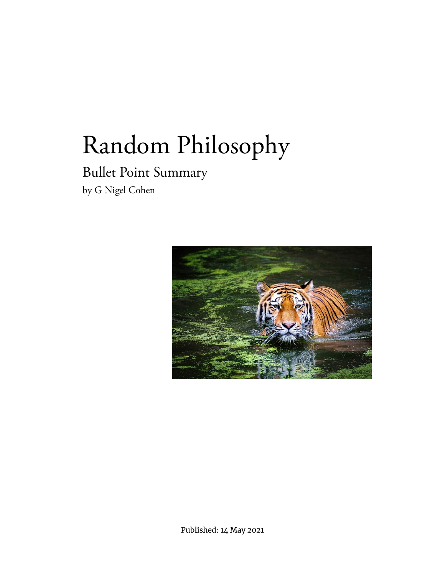# Bullet Point Summary by G Nigel Cohen



Published: 14 May 2021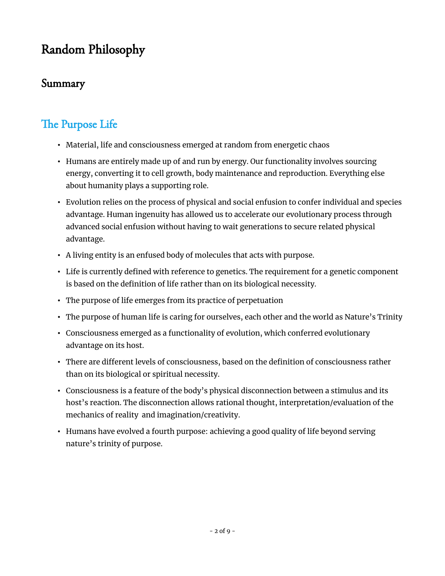#### Summary

# The Purpose Life

- Material, life and consciousness emerged at random from energetic chaos
- Humans are entirely made up of and run by energy. Our functionality involves sourcing energy, converting it to cell growth, body maintenance and reproduction. Everything else about humanity plays a supporting role.
- Evolution relies on the process of physical and social enfusion to confer individual and species advantage. Human ingenuity has allowed us to accelerate our evolutionary process through advanced social enfusion without having to wait generations to secure related physical advantage.
- A living entity is an enfused body of molecules that acts with purpose.
- Life is currently defined with reference to genetics. The requirement for a genetic component is based on the definition of life rather than on its biological necessity.
- The purpose of life emerges from its practice of perpetuation
- The purpose of human life is caring for ourselves, each other and the world as Nature's Trinity
- Consciousness emerged as a functionality of evolution, which conferred evolutionary advantage on its host.
- There are different levels of consciousness, based on the definition of consciousness rather than on its biological or spiritual necessity.
- Consciousness is a feature of the body's physical disconnection between a stimulus and its host's reaction. The disconnection allows rational thought, interpretation/evaluation of the mechanics of reality and imagination/creativity.
- Humans have evolved a fourth purpose: achieving a good quality of life beyond serving nature's trinity of purpose.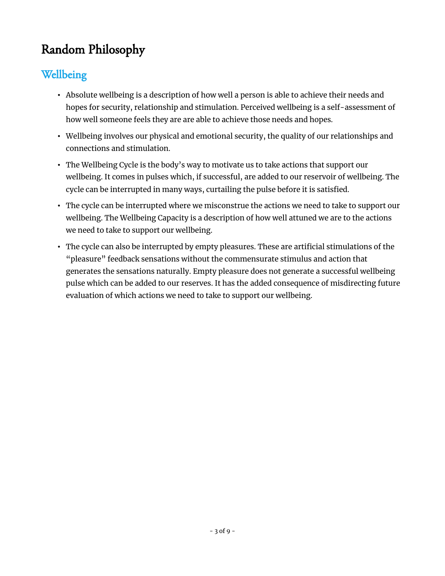#### Wellbeing

- Absolute wellbeing is a description of how well a person is able to achieve their needs and hopes for security, relationship and stimulation. Perceived wellbeing is a self-assessment of how well someone feels they are are able to achieve those needs and hopes.
- Wellbeing involves our physical and emotional security, the quality of our relationships and connections and stimulation.
- The Wellbeing Cycle is the body's way to motivate us to take actions that support our wellbeing. It comes in pulses which, if successful, are added to our reservoir of wellbeing. The cycle can be interrupted in many ways, curtailing the pulse before it is satisfied.
- The cycle can be interrupted where we misconstrue the actions we need to take to support our wellbeing. The Wellbeing Capacity is a description of how well attuned we are to the actions we need to take to support our wellbeing.
- The cycle can also be interrupted by empty pleasures. These are artificial stimulations of the "pleasure" feedback sensations without the commensurate stimulus and action that generates the sensations naturally. Empty pleasure does not generate a successful wellbeing pulse which can be added to our reserves. It has the added consequence of misdirecting future evaluation of which actions we need to take to support our wellbeing.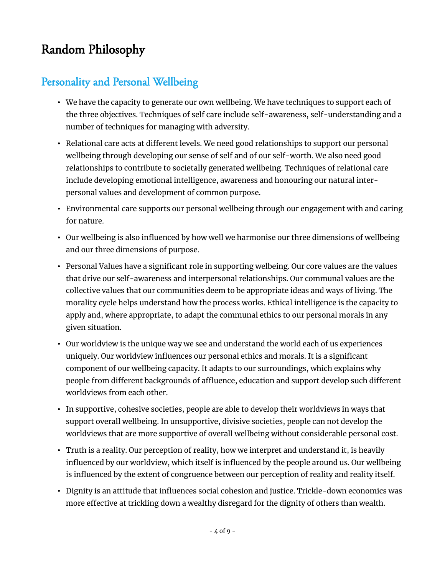#### Personality and Personal Wellbeing

- We have the capacity to generate our own wellbeing. We have techniques to support each of the three objectives. Techniques of self care include self-awareness, self-understanding and a number of techniques for managing with adversity.
- Relational care acts at different levels. We need good relationships to support our personal wellbeing through developing our sense of self and of our self-worth. We also need good relationships to contribute to societally generated wellbeing. Techniques of relational care include developing emotional intelligence, awareness and honouring our natural interpersonal values and development of common purpose.
- Environmental care supports our personal wellbeing through our engagement with and caring for nature.
- Our wellbeing is also influenced by how well we harmonise our three dimensions of wellbeing and our three dimensions of purpose.
- Personal Values have a significant role in supporting welbeing. Our core values are the values that drive our self-awareness and interpersonal relationships. Our communal values are the collective values that our communities deem to be appropriate ideas and ways of living. The morality cycle helps understand how the process works. Ethical intelligence is the capacity to apply and, where appropriate, to adapt the communal ethics to our personal morals in any given situation.
- Our worldview is the unique way we see and understand the world each of us experiences uniquely. Our worldview influences our personal ethics and morals. It is a significant component of our wellbeing capacity. It adapts to our surroundings, which explains why people from different backgrounds of affluence, education and support develop such different worldviews from each other.
- In supportive, cohesive societies, people are able to develop their worldviews in ways that support overall wellbeing. In unsupportive, divisive societies, people can not develop the worldviews that are more supportive of overall wellbeing without considerable personal cost.
- Truth is a reality. Our perception of reality, how we interpret and understand it, is heavily influenced by our worldview, which itself is influenced by the people around us. Our wellbeing is influenced by the extent of congruence between our perception of reality and reality itself.
- Dignity is an attitude that influences social cohesion and justice. Trickle-down economics was more effective at trickling down a wealthy disregard for the dignity of others than wealth.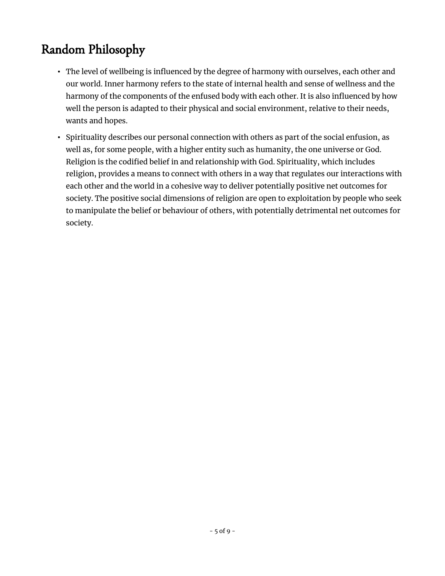- The level of wellbeing is influenced by the degree of harmony with ourselves, each other and our world. Inner harmony refers to the state of internal health and sense of wellness and the harmony of the components of the enfused body with each other. It is also influenced by how well the person is adapted to their physical and social environment, relative to their needs, wants and hopes.
- Spirituality describes our personal connection with others as part of the social enfusion, as well as, for some people, with a higher entity such as humanity, the one universe or God. Religion is the codified belief in and relationship with God. Spirituality, which includes religion, provides a means to connect with others in a way that regulates our interactions with each other and the world in a cohesive way to deliver potentially positive net outcomes for society. The positive social dimensions of religion are open to exploitation by people who seek to manipulate the belief or behaviour of others, with potentially detrimental net outcomes for society.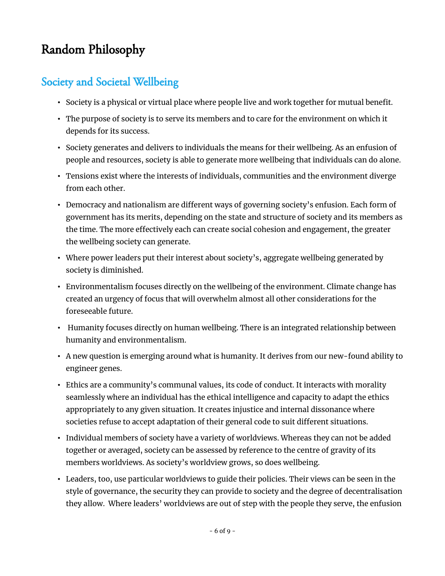#### Society and Societal Wellbeing

- Society is a physical or virtual place where people live and work together for mutual benefit.
- The purpose of society is to serve its members and to care for the environment on which it depends for its success.
- Society generates and delivers to individuals the means for their wellbeing. As an enfusion of people and resources, society is able to generate more wellbeing that individuals can do alone.
- Tensions exist where the interests of individuals, communities and the environment diverge from each other.
- Democracy and nationalism are different ways of governing society's enfusion. Each form of government has its merits, depending on the state and structure of society and its members as the time. The more effectively each can create social cohesion and engagement, the greater the wellbeing society can generate.
- Where power leaders put their interest about society's, aggregate wellbeing generated by society is diminished.
- Environmentalism focuses directly on the wellbeing of the environment. Climate change has created an urgency of focus that will overwhelm almost all other considerations for the foreseeable future.
- Humanity focuses directly on human wellbeing. There is an integrated relationship between humanity and environmentalism.
- A new question is emerging around what is humanity. It derives from our new-found ability to engineer genes.
- Ethics are a community's communal values, its code of conduct. It interacts with morality seamlessly where an individual has the ethical intelligence and capacity to adapt the ethics appropriately to any given situation. It creates injustice and internal dissonance where societies refuse to accept adaptation of their general code to suit different situations.
- Individual members of society have a variety of worldviews. Whereas they can not be added together or averaged, society can be assessed by reference to the centre of gravity of its members worldviews. As society's worldview grows, so does wellbeing.
- Leaders, too, use particular worldviews to guide their policies. Their views can be seen in the style of governance, the security they can provide to society and the degree of decentralisation they allow. Where leaders' worldviews are out of step with the people they serve, the enfusion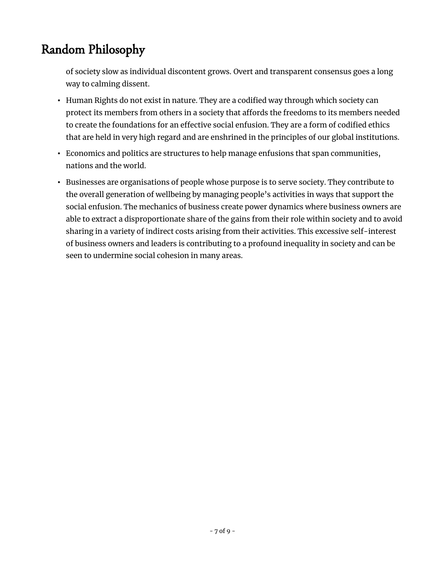of society slow as individual discontent grows. Overt and transparent consensus goes a long way to calming dissent.

- Human Rights do not exist in nature. They are a codified way through which society can protect its members from others in a society that affords the freedoms to its members needed to create the foundations for an effective social enfusion. They are a form of codified ethics that are held in very high regard and are enshrined in the principles of our global institutions.
- Economics and politics are structures to help manage enfusions that span communities, nations and the world.
- Businesses are organisations of people whose purpose is to serve society. They contribute to the overall generation of wellbeing by managing people's activities in ways that support the social enfusion. The mechanics of business create power dynamics where business owners are able to extract a disproportionate share of the gains from their role within society and to avoid sharing in a variety of indirect costs arising from their activities. This excessive self-interest of business owners and leaders is contributing to a profound inequality in society and can be seen to undermine social cohesion in many areas.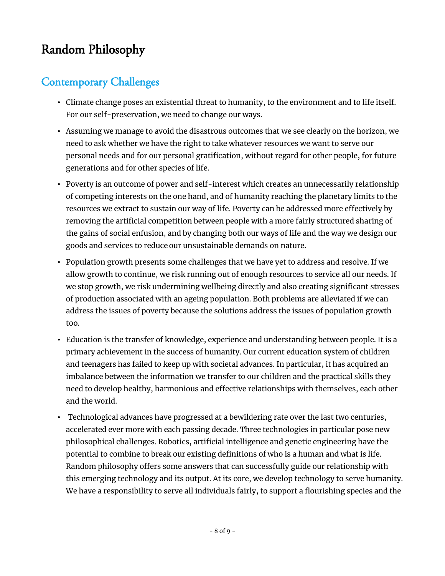#### Contemporary Challenges

- Climate change poses an existential threat to humanity, to the environment and to life itself. For our self-preservation, we need to change our ways.
- Assuming we manage to avoid the disastrous outcomes that we see clearly on the horizon, we need to ask whether we have the right to take whatever resources we want to serve our personal needs and for our personal gratification, without regard for other people, for future generations and for other species of life.
- Poverty is an outcome of power and self-interest which creates an unnecessarily relationship of competing interests on the one hand, and of humanity reaching the planetary limits to the resources we extract to sustain our way of life. Poverty can be addressed more effectively by removing the artificial competition between people with a more fairly structured sharing of the gains of social enfusion, and by changing both our ways of life and the way we design our goods and services to reduce our unsustainable demands on nature.
- Population growth presents some challenges that we have yet to address and resolve. If we allow growth to continue, we risk running out of enough resources to service all our needs. If we stop growth, we risk undermining wellbeing directly and also creating significant stresses of production associated with an ageing population. Both problems are alleviated if we can address the issues of poverty because the solutions address the issues of population growth too.
- Education is the transfer of knowledge, experience and understanding between people. It is a primary achievement in the success of humanity. Our current education system of children and teenagers has failed to keep up with societal advances. In particular, it has acquired an imbalance between the information we transfer to our children and the practical skills they need to develop healthy, harmonious and effective relationships with themselves, each other and the world.
- Technological advances have progressed at a bewildering rate over the last two centuries, accelerated ever more with each passing decade. Three technologies in particular pose new philosophical challenges. Robotics, artificial intelligence and genetic engineering have the potential to combine to break our existing definitions of who is a human and what is life. Random philosophy offers some answers that can successfully guide our relationship with this emerging technology and its output. At its core, we develop technology to serve humanity. We have a responsibility to serve all individuals fairly, to support a flourishing species and the